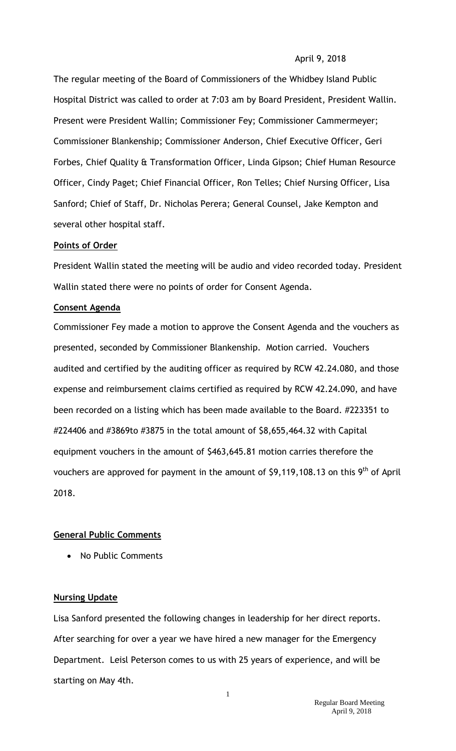### April 9, 2018

The regular meeting of the Board of Commissioners of the Whidbey Island Public Hospital District was called to order at 7:03 am by Board President, President Wallin. Present were President Wallin; Commissioner Fey; Commissioner Cammermeyer; Commissioner Blankenship; Commissioner Anderson, Chief Executive Officer, Geri Forbes, Chief Quality & Transformation Officer, Linda Gipson; Chief Human Resource Officer, Cindy Paget; Chief Financial Officer, Ron Telles; Chief Nursing Officer, Lisa Sanford; Chief of Staff, Dr. Nicholas Perera; General Counsel, Jake Kempton and several other hospital staff.

### **Points of Order**

President Wallin stated the meeting will be audio and video recorded today. President Wallin stated there were no points of order for Consent Agenda.

### **Consent Agenda**

Commissioner Fey made a motion to approve the Consent Agenda and the vouchers as presented, seconded by Commissioner Blankenship. Motion carried. Vouchers audited and certified by the auditing officer as required by RCW 42.24.080, and those expense and reimbursement claims certified as required by RCW 42.24.090, and have been recorded on a listing which has been made available to the Board. #223351 to #224406 and #3869to #3875 in the total amount of \$8,655,464.32 with Capital equipment vouchers in the amount of \$463,645.81 motion carries therefore the vouchers are approved for payment in the amount of \$9,119,108.13 on this 9<sup>th</sup> of April 2018.

#### **General Public Comments**

• No Public Comments

## **Nursing Update**

Lisa Sanford presented the following changes in leadership for her direct reports. After searching for over a year we have hired a new manager for the Emergency Department. Leisl Peterson comes to us with 25 years of experience, and will be starting on May 4th.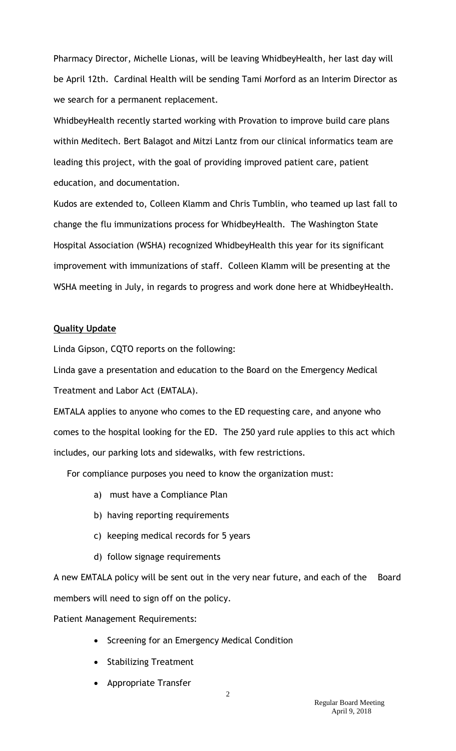Pharmacy Director, Michelle Lionas, will be leaving WhidbeyHealth, her last day will be April 12th. Cardinal Health will be sending Tami Morford as an Interim Director as we search for a permanent replacement.

WhidbeyHealth recently started working with Provation to improve build care plans within Meditech. Bert Balagot and Mitzi Lantz from our clinical informatics team are leading this project, with the goal of providing improved patient care, patient education, and documentation.

Kudos are extended to, Colleen Klamm and Chris Tumblin, who teamed up last fall to change the flu immunizations process for WhidbeyHealth. The Washington State Hospital Association (WSHA) recognized WhidbeyHealth this year for its significant improvement with immunizations of staff. Colleen Klamm will be presenting at the WSHA meeting in July, in regards to progress and work done here at WhidbeyHealth.

## **Quality Update**

Linda Gipson, CQTO reports on the following:

Linda gave a presentation and education to the Board on the Emergency Medical Treatment and Labor Act (EMTALA).

EMTALA applies to anyone who comes to the ED requesting care, and anyone who comes to the hospital looking for the ED. The 250 yard rule applies to this act which includes, our parking lots and sidewalks, with few restrictions.

For compliance purposes you need to know the organization must:

- a) must have a Compliance Plan
- b) having reporting requirements
- c) keeping medical records for 5 years
- d) follow signage requirements

A new EMTALA policy will be sent out in the very near future, and each of the Board members will need to sign off on the policy.

Patient Management Requirements:

- Screening for an Emergency Medical Condition
- Stabilizing Treatment
- Appropriate Transfer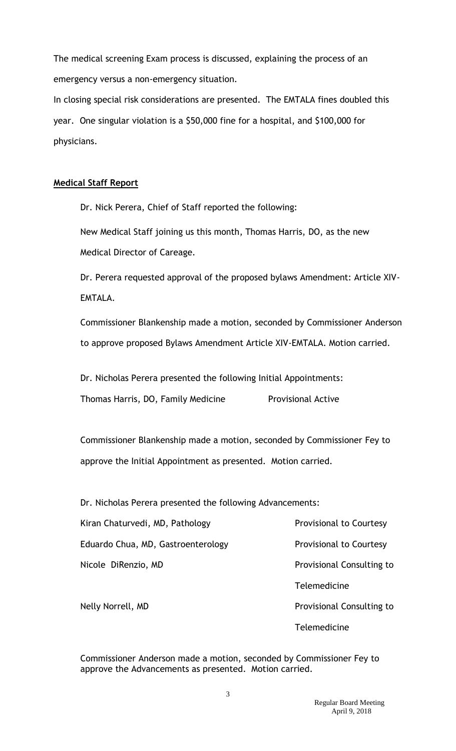The medical screening Exam process is discussed, explaining the process of an emergency versus a non-emergency situation.

In closing special risk considerations are presented. The EMTALA fines doubled this year. One singular violation is a \$50,000 fine for a hospital, and \$100,000 for physicians.

## **Medical Staff Report**

Dr. Nick Perera, Chief of Staff reported the following:

New Medical Staff joining us this month, Thomas Harris, DO, as the new Medical Director of Careage.

Dr. Perera requested approval of the proposed bylaws Amendment: Article XIV-EMTALA.

Commissioner Blankenship made a motion, seconded by Commissioner Anderson to approve proposed Bylaws Amendment Article XIV-EMTALA. Motion carried.

Dr. Nicholas Perera presented the following Initial Appointments:

Thomas Harris, DO, Family Medicine Provisional Active

Commissioner Blankenship made a motion, seconded by Commissioner Fey to approve the Initial Appointment as presented. Motion carried.

Dr. Nicholas Perera presented the following Advancements:

| Kiran Chaturvedi, MD, Pathology    | Provisional to Courtesy   |
|------------------------------------|---------------------------|
| Eduardo Chua, MD, Gastroenterology | Provisional to Courtesy   |
| Nicole DiRenzio, MD                | Provisional Consulting to |
|                                    | Telemedicine              |
| Nelly Norrell, MD                  | Provisional Consulting to |
|                                    | <b>Telemedicine</b>       |

Commissioner Anderson made a motion, seconded by Commissioner Fey to approve the Advancements as presented. Motion carried.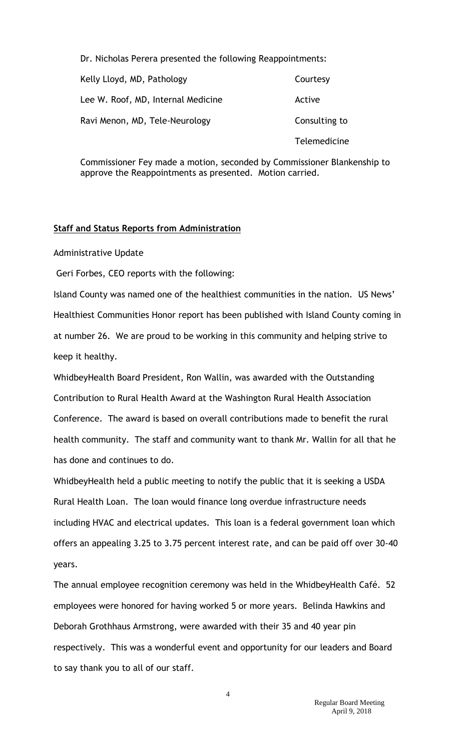Dr. Nicholas Perera presented the following Reappointments:

| Kelly Lloyd, MD, Pathology         | Courtesy            |
|------------------------------------|---------------------|
| Lee W. Roof, MD, Internal Medicine | Active              |
| Ravi Menon, MD, Tele-Neurology     | Consulting to       |
|                                    | <b>Telemedicine</b> |

Commissioner Fey made a motion, seconded by Commissioner Blankenship to approve the Reappointments as presented. Motion carried.

## **Staff and Status Reports from Administration**

Administrative Update

Geri Forbes, CEO reports with the following:

Island County was named one of the healthiest communities in the nation. US News' Healthiest Communities Honor report has been published with Island County coming in at number 26. We are proud to be working in this community and helping strive to keep it healthy.

WhidbeyHealth Board President, Ron Wallin, was awarded with the Outstanding Contribution to Rural Health Award at the Washington Rural Health Association Conference. The award is based on overall contributions made to benefit the rural health community. The staff and community want to thank Mr. Wallin for all that he has done and continues to do.

WhidbeyHealth held a public meeting to notify the public that it is seeking a USDA Rural Health Loan. The loan would finance long overdue infrastructure needs including HVAC and electrical updates. This loan is a federal government loan which offers an appealing 3.25 to 3.75 percent interest rate, and can be paid off over 30-40 years.

The annual employee recognition ceremony was held in the WhidbeyHealth Café. 52 employees were honored for having worked 5 or more years. Belinda Hawkins and Deborah Grothhaus Armstrong, were awarded with their 35 and 40 year pin respectively. This was a wonderful event and opportunity for our leaders and Board to say thank you to all of our staff.

4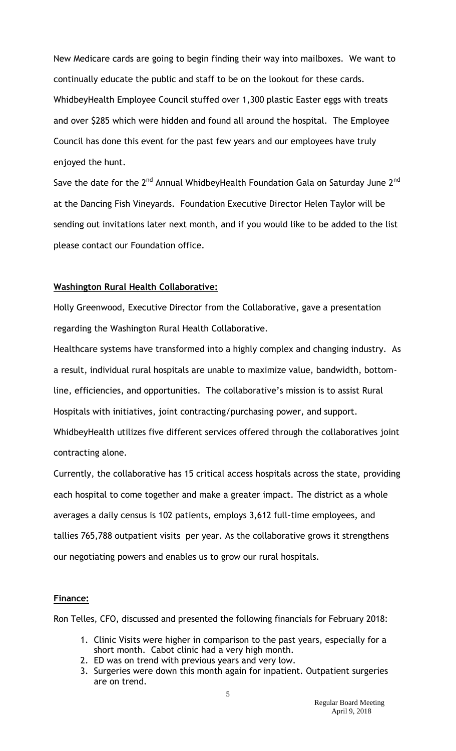New Medicare cards are going to begin finding their way into mailboxes. We want to continually educate the public and staff to be on the lookout for these cards. WhidbeyHealth Employee Council stuffed over 1,300 plastic Easter eggs with treats and over \$285 which were hidden and found all around the hospital. The Employee Council has done this event for the past few years and our employees have truly enjoyed the hunt.

Save the date for the 2<sup>nd</sup> Annual WhidbeyHealth Foundation Gala on Saturday June 2<sup>nd</sup> at the Dancing Fish Vineyards. Foundation Executive Director Helen Taylor will be sending out invitations later next month, and if you would like to be added to the list please contact our Foundation office.

### **Washington Rural Health Collaborative:**

Holly Greenwood, Executive Director from the Collaborative, gave a presentation regarding the Washington Rural Health Collaborative.

Healthcare systems have transformed into a highly complex and changing industry. As a result, individual rural hospitals are unable to maximize value, bandwidth, bottomline, efficiencies, and opportunities. The collaborative's mission is to assist Rural Hospitals with initiatives, joint contracting/purchasing power, and support. WhidbeyHealth utilizes five different services offered through the collaboratives joint contracting alone.

Currently, the collaborative has 15 critical access hospitals across the state, providing each hospital to come together and make a greater impact. The district as a whole averages a daily census is 102 patients, employs 3,612 full-time employees, and tallies 765,788 outpatient visits per year. As the collaborative grows it strengthens our negotiating powers and enables us to grow our rural hospitals.

### **Finance:**

Ron Telles, CFO, discussed and presented the following financials for February 2018:

- 1. Clinic Visits were higher in comparison to the past years, especially for a short month. Cabot clinic had a very high month.
- 2. ED was on trend with previous years and very low.
- 3. Surgeries were down this month again for inpatient. Outpatient surgeries are on trend.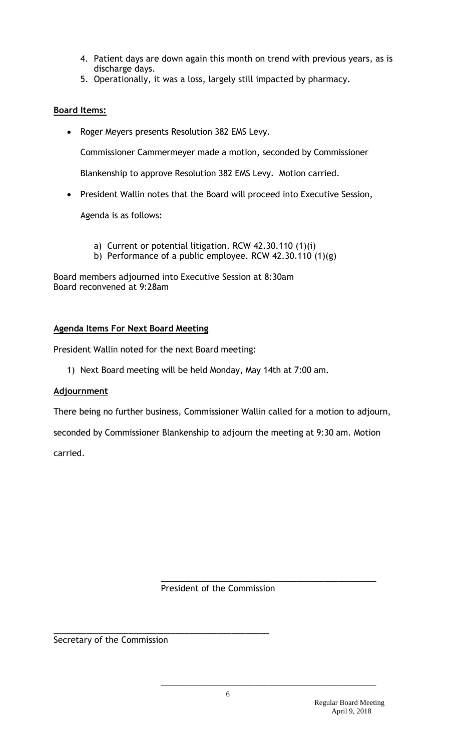- 4. Patient days are down again this month on trend with previous years, as is discharge days.
- 5. Operationally, it was a loss, largely still impacted by pharmacy.

# **Board Items:**

Roger Meyers presents Resolution 382 EMS Levy.

Commissioner Cammermeyer made a motion, seconded by Commissioner

Blankenship to approve Resolution 382 EMS Levy. Motion carried.

President Wallin notes that the Board will proceed into Executive Session,

Agenda is as follows:

- a) Current or potential litigation. RCW 42.30.110 (1)(i)
- b) Performance of a public employee. RCW 42.30.110 (1)(g)

Board members adjourned into Executive Session at 8:30am Board reconvened at 9:28am

# **Agenda Items For Next Board Meeting**

President Wallin noted for the next Board meeting:

1) Next Board meeting will be held Monday, May 14th at 7:00 am.

# **Adjournment**

There being no further business, Commissioner Wallin called for a motion to adjourn,

seconded by Commissioner Blankenship to adjourn the meeting at 9:30 am. Motion carried.

President of the Commission

\_\_\_\_\_\_\_\_\_\_\_\_\_\_\_\_\_\_\_\_\_\_\_\_\_\_\_\_\_\_\_\_\_\_\_\_\_\_\_\_\_\_\_\_\_\_

\_\_\_\_\_\_\_\_\_\_\_\_\_\_\_\_\_\_\_\_\_\_\_\_\_\_\_\_\_\_\_\_\_\_\_\_\_\_\_\_\_\_\_\_\_\_

Secretary of the Commission

\_\_\_\_\_\_\_\_\_\_\_\_\_\_\_\_\_\_\_\_\_\_\_\_\_\_\_\_\_\_\_\_\_\_\_\_\_\_\_\_\_\_\_\_\_\_